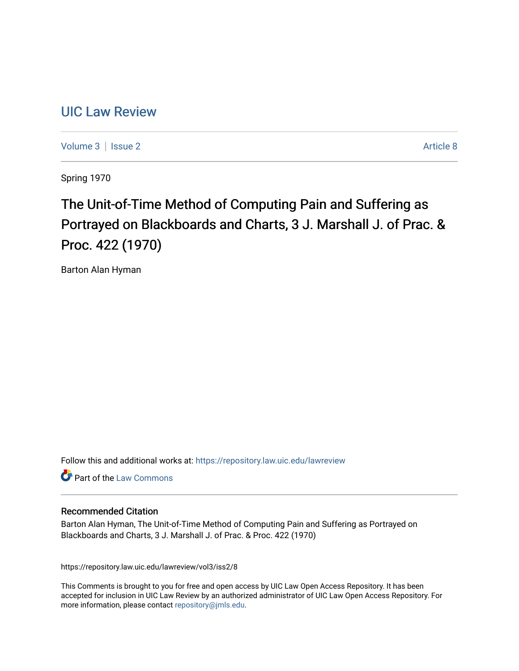## [UIC Law Review](https://repository.law.uic.edu/lawreview)

[Volume 3](https://repository.law.uic.edu/lawreview/vol3) | [Issue 2](https://repository.law.uic.edu/lawreview/vol3/iss2) Article 8

Spring 1970

# The Unit-of-Time Method of Computing Pain and Suffering as Portrayed on Blackboards and Charts, 3 J. Marshall J. of Prac. & Proc. 422 (1970)

Barton Alan Hyman

Follow this and additional works at: [https://repository.law.uic.edu/lawreview](https://repository.law.uic.edu/lawreview?utm_source=repository.law.uic.edu%2Flawreview%2Fvol3%2Fiss2%2F8&utm_medium=PDF&utm_campaign=PDFCoverPages) 

Part of the [Law Commons](http://network.bepress.com/hgg/discipline/578?utm_source=repository.law.uic.edu%2Flawreview%2Fvol3%2Fiss2%2F8&utm_medium=PDF&utm_campaign=PDFCoverPages)

#### Recommended Citation

Barton Alan Hyman, The Unit-of-Time Method of Computing Pain and Suffering as Portrayed on Blackboards and Charts, 3 J. Marshall J. of Prac. & Proc. 422 (1970)

https://repository.law.uic.edu/lawreview/vol3/iss2/8

This Comments is brought to you for free and open access by UIC Law Open Access Repository. It has been accepted for inclusion in UIC Law Review by an authorized administrator of UIC Law Open Access Repository. For more information, please contact [repository@jmls.edu.](mailto:repository@jmls.edu)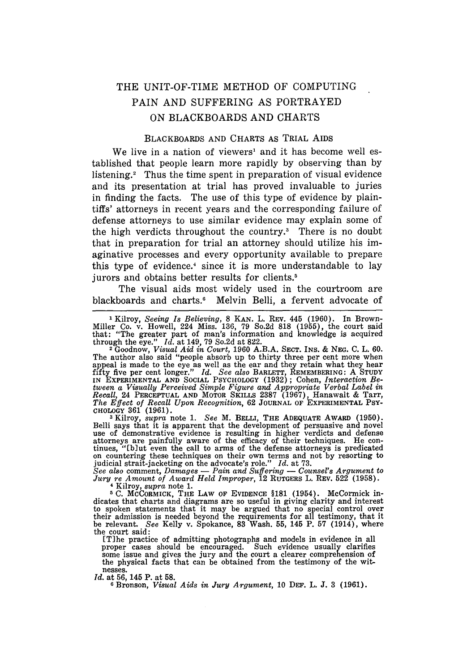### THE UNIT-OF-TIME METHOD OF COMPUTING PAIN AND SUFFERING AS PORTRAYED ON BLACKBOARDS AND CHARTS

#### BLACKBOARDS AND CHARTS AS TRIAL AIDS

We live in a nation of viewers<sup>1</sup> and it has become well established that people learn more rapidly by observing than by listening.<sup>2</sup> Thus the time spent in preparation of visual evidence and its presentation at trial has proved invaluable to juries in finding the facts. The use of this type of evidence by plaintiffs' attorneys in recent years and the corresponding failure of defense attorneys to use similar evidence may explain some of the high verdicts throughout the country.<sup>3</sup> There is no doubt that in preparation for trial an attorney should utilize his imaginative processes and every opportunity available to prepare this type of evidence.<sup>4</sup> since it is more understandable to lay jurors and obtains better results for clients.<sup>5</sup>

The visual aids most widely used in the courtroom are blackboards and charts.<sup>6</sup> Melvin Belli, a fervent advocate of

I Kilroy, *Seeing Is Believing,* 8 **KAN.** L. REV. 445 **(1960).** In Brown-Miller Co. v. Howell, 224 Miss. 136, 79 So.2d 818 (1955), the court said that: "The greater part of man's information and knowledge is acquired through the eye." *Id.* at 149, 79 So.2d at 822. 2 Goodnow, *Visual Aid in Court,* 1960 A.B.A. **SECT.** INS. & *NEG.* C. L. 60.

The author also said "people absorb up to thirty three per cent more when appeal is made to the eye as well as the ear and they retain what they hear<br>fifty five per cent longer." Id. See also BARLETT, REMEMBERING: A STUDY<br>IN EXPERIMENTAL AND SOCIAL PSYCHOLOGY (1932); Cohen, Interaction Be*tween a Visually Perceived Simple Figure and Appropriate Verbal Label in Recall,* 24 **PERCEPTUAL AND** MOTOR SKILLS **2387** (1967), Hanawalt & Tarr, *The Effect of Recall Upon Recognition,* **62 JOURNAL** OF EXPERIMENTAL **PSY-**CHOLOGY 361 (1961). **<sup>3</sup>**Kilroy, *supra* note 1. *See* M. BELLI, THE **ADEQUATE AWARD** (1950).

Belli says that it is apparent that the development of persuasive and novel use of demonstrative evidence is resulting in higher verdicts and defense<br>attorneys are painfully aware of the efficacy of their techniques. He con-<br>tinues, "folut even the call to arms of the defense attorneys is predica

*See also* comment, *Damages* - *Pain and Suffering* - *Counsel's Argument to Jury re Amount of Award Held Improper,* 12 RUTGERS L. REV. 522 (1958). 4 Kilroy, *supra* note 1.

**5** C. MCCORMICK, **THE LAW OF** EVIDENCE §181 (1954). McCormick in-dicates that charts and diagrams are so useful in giving clarity and interest to spoken statements that it may be argued that no special control over their admission is needed beyond the requirements for all testimony, that it be relevant. *See* Kelly v. Spokance, 83 Wash. 55, 145 P. 57 (1914), where the court said:

[Tihe practice of admitting photographs and models in evidence in all proper cases should be encouraged. Such evidence usually clarifies some issue and gives the jury and the court a clearer comprehension of the physical facts that can be obtained from the testimony of the witnesses.

*Id.* at **56,** 145 P. at **58.**

**6** Bronson, *Visual Aids in Jury Argument,* **10 DEF.** L. **J. 3 (1961).**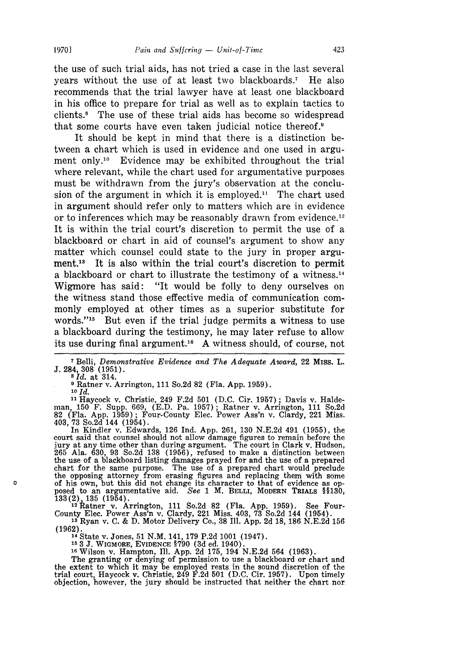the use of such trial aids, has not tried a case in the last several years without the use of at least two blackboards.' He also recommends that the trial lawyer have at least one blackboard in his office to prepare for trial as well as to explain tactics to clients.<sup>8</sup> The use of these trial aids has become so widespread that some courts have even taken judicial notice thereof.9

It should be kept in mind that there is a distinction between a chart which is used in evidence and one used in argument only.<sup>10</sup> Evidence may be exhibited throughout the trial where relevant, while the chart used for argumentative purposes must be withdrawn from the jury's observation at the conclusion of the argument in which it is employed.<sup>11</sup> The chart used in argument should refer only to matters which are in evidence or to inferences which may be reasonably drawn from evidence.<sup>12</sup> It is within the trial court's discretion to permit the use of a blackboard or chart in aid of counsel's argument to show any matter which counsel could state to the jury in proper argu**ment.13** It is also within the trial court's discretion to permit a blackboard or chart to illustrate the testimony of a witness.<sup>14</sup> Wigmore has said: "It would be folly to deny ourselves on the witness stand those effective media of communication commonly employed at other times as a superior substitute for words."<sup>15</sup> But even if the trial judge permits a witness to use a blackboard during the testimony, he may later refuse to allow its use during final argument.<sup>16</sup> A witness should, of course, not

**9** Ratner v. Arrington, 111 So.2d 82 (Fla. App. 1959).

*10* Id.

 $\mathbf{D}$ 

**11** Haycock v. Christie, 249 F.2d 501 (D.C. Cir. 1957); Davis v. Haldeman, 150 F. Supp. 669, (E.D. Pa. 1957); Ratner v. Arrington, 111 So.2d 82 (Fla. App. 1959) ; Four-County Elec. Power Ass'n v. Clardy, 221 Miss. 403, 73 So.2d 144 (1954). In Kindler v. Edwards, 126 Ind. App. 261, 130 N.E.2d 491 (1955), the

court said that counsel should not allow damage figures to remain before the jury at any time other than during argument. The court in Clark v. Hudson, 265 Ala. 630, 93 So.2d 138 (1956), refused to make a distinction between the use of a blackboard listing damages prayed for and the use of a prepared chart for the same purpose. The use of a prepared chart would preclude the opposing attorney from erasing figures and replacing them with some of his own, but this did not change its character to that of evidence as opposed to an argumentative aid. *See* 1 M. BELLI, MODERN TRIALS \$\$130 **133(2) 135** (1954). 12katner v. Arrington, 111 So.2d 82 (Fla. App. 1959). See Four-

County Elec. Power Ass'n v. Clardy, 221 Miss. 403, 73 So.2d 144 (1954).

<sup>18</sup>Ryan v. C. & D. Motor Delivery Co., 38 Ill. App. 2d 18, **186** N.E.2d 156 (1962). <sup>14</sup>State v. Jones, 51 N.M. 141, 179 P.2d 1001 (1947).

<sup>15</sup> 3 J. WIGMORE, EVIDENCE  $\frac{5790}{3d}$  (3d ed. 1940).<br><sup>16</sup> Wilson v. Hampton, Ill. App. 2d 175, 194 N.E.2d 564 (1963).<br>The granting or denying of permission to use a blackboard or chart and<br>the extent to which it may b trial court, Haycock v. Christie, 249 F.2d 501 (D.C. Cir. 1957). Upon timely objection, however, the jury should be instructed that neither the chart nor

<sup>7</sup>Belli, *Demonstrative Evidence and The Adequate Award,* 22 Miss. L. J. 284, 308 (1951). **<sup>8</sup>***Id.* at 314.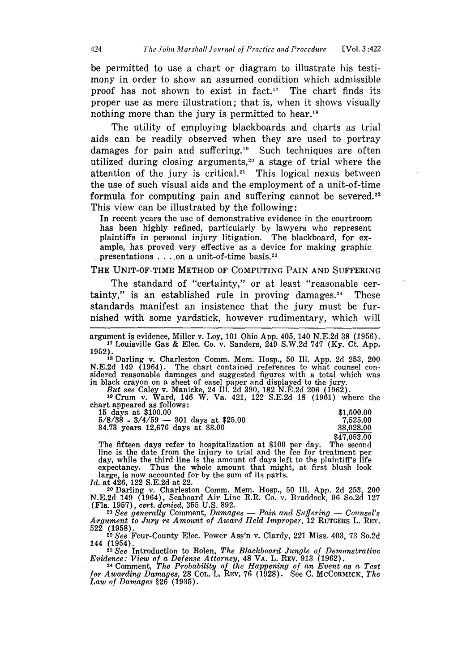be permitted to use a chart or diagram to illustrate his testimony in order to show an assumed condition which admissible proof has not shown to exist in fact.<sup>17</sup> The chart finds its proper use as mere illustration; that is, when it shows visually nothing more than the jury is permitted to hear.<sup>18</sup>

The utility of employing blackboards and charts as trial aids can be readily observed when they are used to portray damages for pain and suffering.<sup>19</sup> Such techniques are often utilized during closing arguments,<sup>20</sup> a stage of trial where the attention of the jury is critical.<sup>21</sup> This logical nexus between the use of such visual aids and the employment of a unit-of-time formula for computing pain and suffering cannot be severed.<sup>2</sup> This view can be illustrated **by** the following:

In recent years the use of demonstrative evidence in the courtroom has been **highly** refined, particularly **by** lawyers who represent plaintiffs in personal injury litigation. The blackboard, for example, has proved very effective as a device for making graphic presentations . . . on a unit-of-time basis.<sup>23</sup>

#### THE UNIT-OF-TIME METHOD OF **COMPUTING** PAIN **AND** SUFFERING

The standard of "certainty," or at least "reasonable certainty," is an established rule in proving damages. $24$ ' These standards manifest an insistence that the jury must be furnished with some yardstick, however rudimentary, which will

argument is evidence, Miller v. Loy, **101** Ohio **App.** 405, 140 **N.E.2d 38 (1956).** '7Louisville Gas & Elec. Co. v. Sanders, 249 **S.W.2d 747 (Ky.** Ct. **App.**

**1952). I** Darling v. Charleston Comm. Mem. Hosp., **50 Ill. App. 2d 253,** 200 N.E.2d 149 (1964). The chart contained references to what counsel considered reasonable damages and suggested figures with a total which was in black crayon on a sheet of easel paper and displayed to the jury.<br>But see Cale 19 In black crayon on a sheet of easel paper and displayed to the jury.<br> **19**Crum v. Ward, 146 W. Va. 421, 122 S.E.2d 18 (1961) where the

chart appeared as follows:

| 15 days at \$100.00                     | \$1.500.00  |
|-----------------------------------------|-------------|
| $5/8/38 - 3/4/59 - 301$ days at \$25.00 | 7.525.00    |
| 34.73 years 12,676 days at \$3.00       | 38.028.00   |
|                                         | \$47,053.00 |

**\$47,053.00** The fifteen days refer to hospitalization at \$100 per day. The second line is the date from the injury to trial and the fee for treatment er day, while the third line is the amount of days left to the plaintiff's life expectancy. Thus the whole amount that might, at first blush look large, is now accounted for by the sum of its parts.<br>Id. at 426, 122 S.E.2d at 22.

<sup>20</sup> Darling v. Charleston Comm. Mem. Hosp., 50 Ill. App. 2d 253, 200 N.E.2d 149 (1964), Seaboard Air Line R.R. Co. v. Braddock, 96 So.2d 127 (Fla. 1957), *cert. denied,* 355 U.S. 892.

*21 See generally* Comment, *Damages* - *Pain and Suffering* - *Counsel's Argument* to *Jury re Amount of Award Held Improper,* 12 RUTGERS L. REN. 522 (1958). **<sup>22</sup>***See* Four-County Elec. Power Ass'n v. Clardy, 221 Miss. 403, 73 So.2d

144 (1954). **<sup>23</sup>***See* Introduction to Bolen, *The Blackboard Jungle of Demonstrative*

*Evidence: View of a Defense Attorney,* 48 VA. L. REv. 913 (1962). 24 Comment, *The Probability of the Happening of an Event* as a *Test*

*for Awarding Damages,* **28** COL. L. REv. **76** (1928). See C. MCCORMICK, *The Law of Damages* §26 (1935).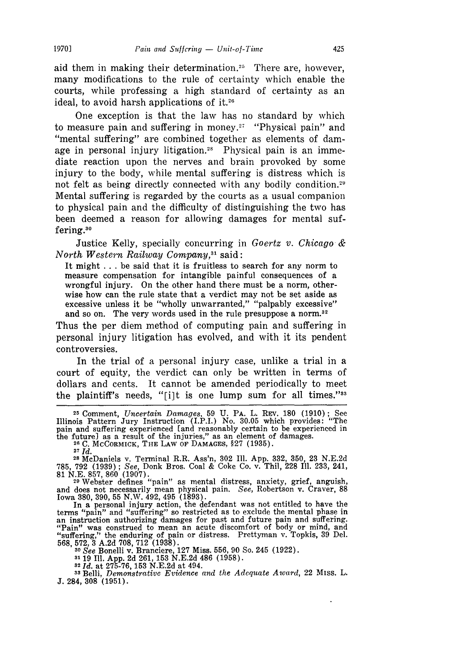aid them in making their determination.<sup>25</sup> There are, however, many modifications to the rule of certainty which enable the courts, while professing a high standard of certainty as an ideal, to avoid harsh applications of it.26

One exception is that the law has no standard by which to measure pain and suffering in money.<sup>27</sup> "Physical pain" and "mental suffering" are combined together as elements of damage in personal injury litigation.<sup>28</sup> Physical pain is an immediate reaction upon the nerves and brain provoked by some injury to the body, while mental suffering is distress which is not felt as being directly connected with any bodily condition.<sup>2</sup> Mental suffering is regarded by the courts as a usual companion to physical pain and the difficulty of distinguishing the two has been deemed a reason for allowing damages for mental suffering.<sup>30</sup>

Justice Kelly, specially concurring in *Goertz v. Chicago & North Western Railway Company,31* said:

It might .. .be said that it is fruitless to search for any norm to measure compensation for intangible painful consequences of a wrongful injury. On the other hand there must be a norm, otherwise how can the rule state that a verdict may not be set aside as excessive unless it be "wholly unwarranted," "palpably excessive" and so on. The very words used in the rule presuppose a norm.<sup>32</sup>

Thus the per diem method of computing pain and suffering in personal injury litigation has evolved, and with it its pendent controversies.

In the trial of a personal injury case, unlike a trial in a court of equity, the verdict can only be written in terms of dollars and cents. It cannot be amended periodically to meet the plaintiff's needs, "[i]t is one lump sum for all times." $33$ 

**<sup>25</sup>**Comment, *Uncertain Damages,* 59 **U. PA.** L. REv. 180 (1910); See Illinois Pattern Jury Instruction (I.P.I.) No. 30.05 which provides: "The pain and suffering experienced [and reasonably certain to be experienced in the future] as a result of the injuries," as an element of damages. **<sup>26</sup>C.** MCCORMICK, **THE** LAW OF **DAMAGES,** §27 (1935).

**<sup>27</sup>***Id.*

**<sup>28</sup>**McDaniels v. Terminal R.R. Ass'n, 302 Ill. App. 332, 350, 23 N.E.2d 785, 792 (1939) ; *See,* Donk Bros. Coal & Coke Co. v. Thil, 228 Ill. 233, 241, **81** N.E. 857, 860 (1907). <sup>29</sup>Webster defines "pain as mental distress, anxiety, grief, anguish,

and does not necessarily mean physical pain. *See,* Robertson v. Craver, 88 Iowa 380, 390, **55** N.W. 492, 495 (1893). In a personal injury action, the defendant was not entitled to have the

terms "pain" and "suffering" so restricted as to exclude the mental phase in an instruction authorizing damages for past and future pain and suffering. "Pain" was construed to mean an acute discomfort of body or mind, and "suffering," the enduring of pain or distress. Prettyman v. Topkis, 39 Del. 568, 572, 3 A.2d 708, 712 (1938). *<sup>30</sup>See* Bonelli v. Branciere, 127 Miss. 556, 90 So. 245 (1922).

**3119 I1.** App. 2d 261,153 N.E.2d 486 (1958). *<sup>32</sup>Id.* at 275-76, 153 N.E.2d at 494.

**<sup>33</sup>**Belli, *Demonstrative Evidence and the Adequate Award,* 22 Miss. L. **J.** 284, 308 (1951).

**19701**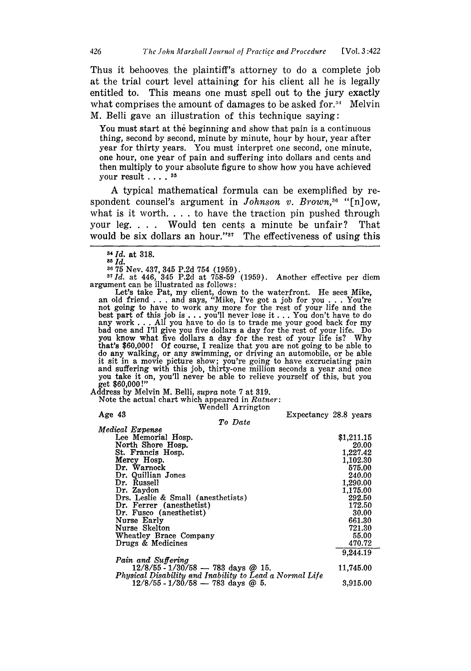Thus it behooves the plaintiff's attorney to do a complete job at the trial court level attaining for his client all he is legally entitled to. This means one must spell out to the jury exactly what comprises the amount of damages to be asked for.<sup>34</sup> Melvin M. Belli gave an illustration of this technique saving:

You must start at the beginning and show that pain is a continuous thing, second **by** second, minute **by** minute, hour by hour, year after year for thirty years. You must interpret one second, one minute, one hour, one year of pain and suffering into dollars and cents and then multiply to your absolute figure to show how you have achieved your result . **. . . 5**

A typical mathematical formula can be exemplified by respondent counsel's argument in *Johnson v. Brown*,<sup>36</sup> "[n] ow, what is it worth. . . . to have the traction pin pushed through your leg. . **.** . Would ten cents a minute be unfair? That would be six dollars an hour." $37$  The effectiveness of using this

**<sup>36</sup>75** Nev. 437, 345 P.2d 754 (1959). 37Id. at 446, 345 P.2d at 758-59 (1959). Another effective per diem argument can be illustrated as follows:

Let's take Pat, my client, down to the waterfront. He sees Mike, an old friend . . . and says, "Mike, I've got a job for you . . . You're not going to have to work any more for the rest of your life and the best part **of** this **job** is .. .you'll never lose it ... You don't have to do any work ... All you have to do is to trade me your good back for my bad one and I'll give you five dollars a day for the rest of your life. Do you know what five dollars a day for the rest of your life is? Why that's \$60,000! **Of** course, I realize that you are not going to be able to do any walking, or any swimming, or driving an automobile, or be able it sit in a movie picture show; you're going to have excruciating pain and suffering with this job, thirty-one million seconds a year and once you take it on, you'll never be able to relieve yourself of this, but you get \$60,000 **!"**

Address by Melvin M. Belli, *supra* note **7** at 319.

Note the actual chart which appeared in *Ratner:* Wendell Arrington

Age 43 Expectancy 28.8 years

#### *To Date*

| Medical Expense                                         |            |
|---------------------------------------------------------|------------|
| Lee Memorial Hosp.                                      | \$1,211.15 |
| North Shore Hosp.                                       | 20.00      |
| St. Francis Hosp.                                       | 1,227.42   |
| Mercy Hosp.                                             | 1,102.30   |
| Dr. Warnock                                             | 575.00     |
| Dr. Quillian Jones                                      | 240.00     |
| Dr. Russell                                             | 1,290.00   |
| Dr. Zaydon                                              | 1,175.00   |
| Drs. Leslie & Small (anesthetists)                      | 292.50     |
| Dr. Ferrer (anesthetist)                                | 172.50     |
| Dr. Fusco (anesthetist)                                 | 30.00      |
| Nurse Early                                             | 661.30     |
| Nurse Skelton                                           | 721.30     |
| Wheatley Brace Company                                  | 55.00      |
| Drugs & Medicines                                       | 470.72     |
|                                                         | 9,244.19   |
| Pain and Suffering                                      |            |
| $12/8/55 - 1/30/58 - 783$ days @ 15.                    | 11,745.00  |
| Physical Disability and Inability to Lead a Normal Life |            |
| $12/8/55 - 1/30/58 - 783$ days @ 5.                     | 3,915.00   |

**<sup>84</sup>M.** at **318.**

**<sup>85</sup>***Id.*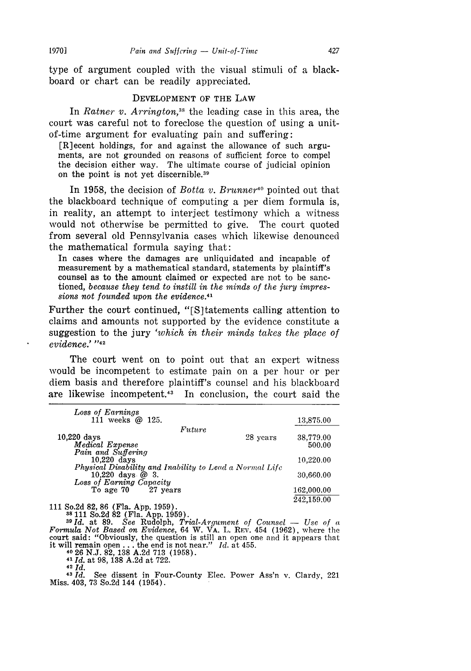type of argument coupled with the visual stimuli of a blackboard or chart can be readily appreciated.

#### **DEVELOPMENT** OF THE LAW

In *Ratner v. Arrington*,<sup>38</sup> the leading case in this area, the court was careful not to foreclose the question of using a unitof-time argument for evaluating pain and suffering:

[R]ecent holdings, for and against the allowance of such arguments, are not grounded on reasons of sufficient force to compel the decision either way. The ultimate course of judicial opinion on the point is not yet discernible. <sup>39</sup>

In 1958, the decision of *Botta v. Brunner"'* pointed out that the blackboard technique of computing a per diem formula is, in reality, an attempt to interject testimony which a witness would not otherwise be permitted to give. The court quoted from several old Pennsylvania cases which likewise denounced the mathematical formula saying that:

In cases where the damages are unliquidated and incapable of measurement by a mathematical standard, statements by plaintiff's counsel as to the amount claimed or expected are not to be sanctioned, *because they tend to instill in the minds of the jury impressions not founded upon the evidence.41*

Further the court continued, "[S]tatements calling attention to claims and amounts not supported by the evidence constitute a suggestion to the jury *'which in their minds takes the place of evidence.'* **"42**

The court went on to point out that an expert witness would be incompetent to estimate pain on a per hour or per diem basis and therefore plaintiff's counsel and his blackboard are likewise incompetent.43 In conclusion, the court said the

| Loss of Earnings                                        |          |            |
|---------------------------------------------------------|----------|------------|
| 111 weeks @ 125.                                        |          | 13,875.00  |
| Future                                                  |          |            |
| $10.220$ days                                           | 28 years | 38,779.00  |
| Medical Expense                                         |          | 500.00     |
| Pain and Suffering                                      |          |            |
| $10.220$ days                                           |          | 10.220.00  |
| Physical Disability and Inability to Lead a Normal Life |          |            |
| 10,220 days $@3.$<br>Loss of Earning Capacity           |          | 30,660.00  |
| To age 70 27 years                                      |          | 162,000.00 |
|                                                         |          |            |
|                                                         |          | 242,159.00 |

111 So.2d 82, 86 (Fla. App. 1959).<br>
<sup>38</sup> 111 So.2d 82 (Fla. App. 1959).<br>
<sup>39</sup> Id. at 89. See Rudolph, *Trial-Argument of Counsel* — Use of a<br>
Formula Not Based on Evidence, 64 W. VA. L. REV. 454 (1962), where the court said: "Obviously, the question is still an open one and it appears that it will remain open **...** the end is not near." *Id.* at 455. 40 26 N.J. 82, 138 A.2d 713 (1958).

<sup>41</sup>*Id.* at 98, **138** A.2d at 722. <sup>42</sup>*Id.* See dissent in Four-County Elec. Power Ass'n v. Clardy, 221 Miss. 403, **73** So.2d 144 (1954).

**19701**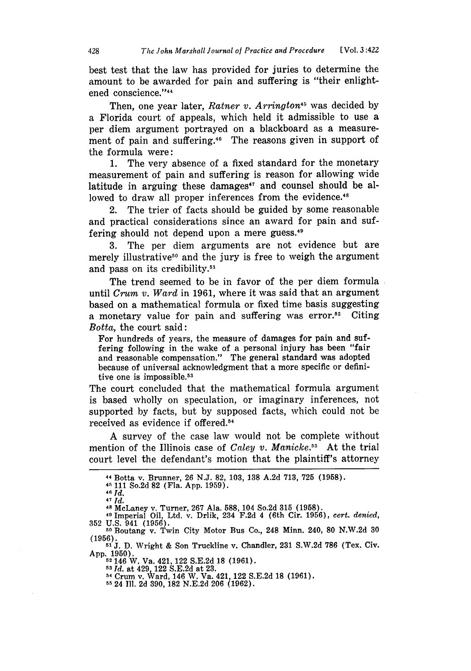best test that the law has provided for juries to determine the amount to **be** awarded for pain and suffering is "their enlightened conscience."<sup>44</sup>

Then, one year later, *Ratner v. Arrington*<sup>45</sup> was decided by a Florida court of appeals, which held it admissible to use a per diem argument portrayed on a blackboard as a measurement of pain and suffering.<sup>46</sup> The reasons given in support of the formula were:

1. The very absence of a fixed standard for the monetary measurement of pain and suffering is reason for allowing wide latitude in arguing these damages $47$  and counsel should be allowed to draw all proper inferences from the evidence.<sup>48</sup>

2. The trier of facts should be guided **by** some reasonable and practical considerations since an award for pain and suffering should not depend upon a mere guess.<sup>49</sup>

3. The per diem arguments are not evidence but are merely illustrative<sup>50</sup> and the jury is free to weigh the argument and pass on its credibility.<sup>51</sup>

The trend seemed to be in favor of the per diem formula until *Crum v. Ward* in 1961, where it was said that an argument based on a mathematical formula or fixed time basis suggesting a monetary value for pain and suffering was error.52 Citing *Botta,* the court said:

For hundreds of years, the measure of damages for pain and suffering following in the wake of a personal injury has been "fair and reasonable compensation." The general standard was adopted because of universal acknowledgment that a more specific or definitive one is impossible.<sup>53</sup>

The court concluded that the mathematical formula argument is based wholly on speculation, or imaginary inferences, not supported **by** facts, but **by** supposed facts, which could not be received as evidence if offered.<sup>54</sup>

**A** survey of the case law would not be complete without mention of the Illinois case of *Caley v. Manicke*.<sup>55</sup> At the trial court level the defendant's motion that the plaintiff's attorney

*47 Id.*<br>47 *Id.*<br>48 McLaney v. Turner, 267 Ala. 588, 104 So.2d 315 (1958).

<sup>49</sup> Imperial Oil, Ltd. v. Drlik, 234 F.2d 4 (6th Cir. 1956), *cert. denied*, **<sup>352</sup>**U.S. 941 (1956). . Boutang v. Twin City Motor Bus Co., 248 Minn. 240, **80** N.W.2d 30

<sup>44</sup> Botta v. Brunner, **26 N.J. 82, 103, 138 A.2d 713, 725 (1958).**

**<sup>4.1</sup>** 111 So.2d **82** (Fla. **App. 1959). <sup>46</sup>***Id.*

<sup>(1956).</sup> **<sup>51</sup>**J. D. Wright & Son Truckline v. Chandler, 231 S.W.2d 786 (Tex. Civ.

App. 1950). 52146 W. Va. 421,122 S.E.2d 18 (1961).

<sup>58</sup>*Id.* at 429 122 S.E.2d at 23.

<sup>58</sup> *Id.* at 429, 122 S.E.2d at 23.<br>54 Crum v. Ward, 146 W. Va. 421, 122 S.E.2d 18 (1961).

**<sup>5</sup>** 24 Ill. 2d 390, 182 N.E.2d 206 (1962).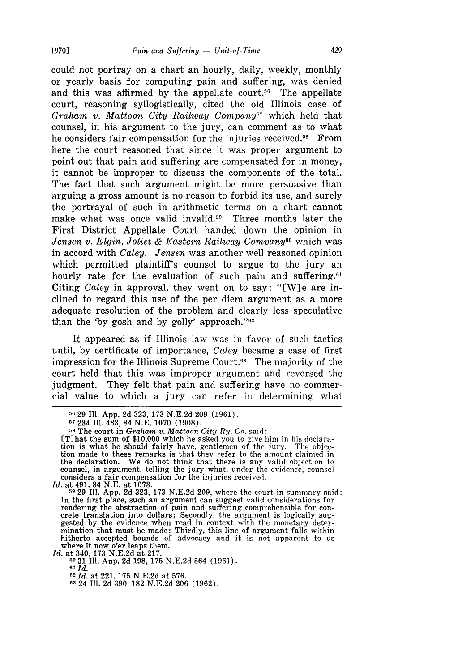could not portray on a chart an hourly, daily, weekly, monthly or yearly basis for computing pain and suffering, was denied and this was affirmed by the appellate court.<sup>56</sup> The appellate court, reasoning syllogistically, cited the old Illinois case of *Graham v. Mattoon City Railway Company<sup>57</sup>* which held that counsel, in his argument to the jury, can comment as to what he considers fair compensation for the injuries received.<sup>58</sup> From here the court reasoned that since it was proper argument to point out that pain and suffering are compensated for in money, it cannot be improper to discuss the components of the total. The fact that such argument might be more persuasive than arguing a gross amount is no reason to forbid its use, and surely the portrayal of such in arithmetic terms on a chart cannot make what was once valid invalid.<sup>59</sup> Three months later the First District Appellate Court handed down the opinion in *Jensen v. Elgin, Joliet & Eastern Railway Company*<sup>60</sup> which was in accord with *Caley. Jensen* was another well reasoned opinion which permitted plaintiff's counsel to argue to the jury an hourly rate for the evaluation of such pain and suffering. $61$ Citing *Caley* in approval, they went on to say: "[W]e are inclined to regard this use of the per diem argument as a more adequate resolution of the problem and clearly less speculative than the 'by gosh and by golly' approach." $82$ 

It appeared as if Illinois law was in favor of such tactics until, by certificate of importance, *Caley* became a case of first impression for the Illinois Supreme Court.<sup>63</sup> The majority of the court held that this was improper argument and reversed the judgment. They felt that pain and suffering have no commercial value to which a jury can refer in determining what

**6031** Ill. Aup. 2d 198, 175 N.E.2d 564 (1961).

**<sup>56 29</sup>** Ill. App. 2d 323, 173 N.E.2d 209 (1961).

<sup>57</sup>234 Ill. 483, 84 N.E. 1070 (1908).

**<sup>58</sup>**The court in *Graham v. Mattoon City Ry. Co.* said:

rT]hat the sum of \$10,000 which he asked you to give him in his declara-tion is what he should fairly have, gentlemen of the jury. The objection made to these remarks is that they refer to the amount claimed in the declaration. We do not think that there is any valid objection to counsel, in argument, telling the jury what, under the evidence, counsel considers a fair compensation for the injuries received.

*Id.* at 491, 84 N.E. at 1073. **<sup>59</sup>**29 Ill. App. 2d 323, 173 N.E.2d 209, where the court in summary said: In the first place, such an argument can suggest valid considerations for rendering the abstraction of pain and suffering comprehensible for con- crete translation into dollars; Secondly, the argument is logically suggested by the evidence when read in context with the monetary deter-mination that must be made; Thirdly, this line of argument falls within hitherto accepted bounds of advocacy and it is not apparent to us *Id.* at 340, 173 N.E.2d at 217.

*<sup>61</sup> Id.*

*<sup>62</sup>Id.* at 221, 175 N.E.2d at 576. **<sup>63</sup>**24 **I1.** 2d 390, 182 N.E.2d 206 (1962).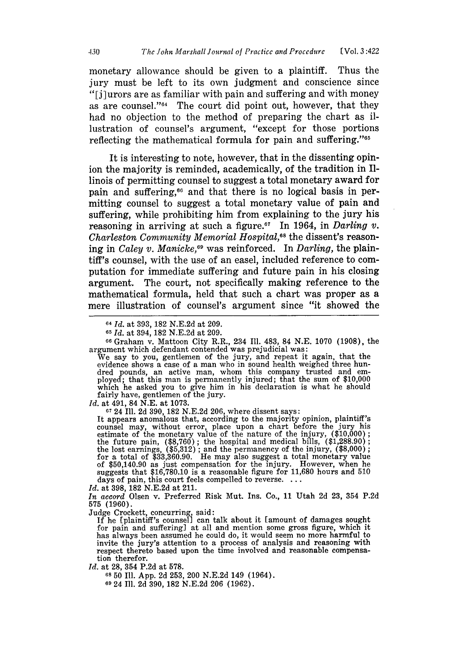monetary allowance should be given to a plaintiff. Thus the jury must be left to its own judgment and conscience since "[i]urors are as familiar with pain and suffering and with money as are counsel."<sup>64</sup> The court did point out, however, that they had no objection to the method of preparing the chart as illustration of counsel's argument, "except for those portions reflecting the mathematical formula for pain and suffering."65

It is interesting to note, however, that in the dissenting opinion the majority is reminded, academically, of the tradition in Illinois of permitting counsel to suggest a total monetary award for pain and suffering,<sup>66</sup> and that there is no logical basis in permitting counsel to suggest a total monetary value of pain and suffering, while prohibiting him from explaining to the jury his reasoning in arriving at such a figure.<sup> $57$ </sup> In 1964, in *Darling v*. *Charleston Community Memorial Hospital,68* the dissent's reasoning in *Caley v. Manicke,69* was reinforced. In *Darling,* the plaintiff's counsel, with the use of an easel, included reference to computation for immediate suffering and future pain in his closing argument. The court, not specifically making reference to the mathematical formula, held that such a chart was proper as a mere illustration of counsel's argument since "it showed the

**<sup>66</sup>**Graham v. Mattoon City R.R., 234 Ill. 483, 84 N.E. 1070 (1908), the argument which defendant contended was prejudicial was: We say to you, gentlemen of the jury, and repeat it again, that the

We say to you, gentlemen of the jury, and repeat it again, that the evidence shows a case of a man who in sound health weighed three hundred pounds, an active man, whom this company trusted and em-<br>ployed; that this man is permanently injured; that the sum of \$10,000 which he asked you to give him in his declaration is what he should fairly have, gentlemen of the jury.

*Id.* at 491, 84 N.E. at 1073.

67 24 Ill. 2d 390, 182 N.E.2d 206, where dissent says:

It appears anomalous that, according to the majority opinion, plaintiff's counsel may, without error, place upon a chart before the jury his estimate of the monetary value of the nature of the injury, (\$10,000) the future pain, (\$8,760); the hospital and medical bills, (\$1,288.90) the lost earnings, (\$5,312); and the permanency of the injury, (\$8,000) for a total of \$33,360.90. He may also suggest a total monetary value of \$50,140.90 as just compensation for the injury. However, when he suggests that \$16,780.10 is a reasonable figure for 11,680 hours and 510 days of pain, this court feels compelled to reverse. ...

*Id.* at 398, 182 N.E.2d at 211.

*In accord* Olsen v. Preferred Risk Mut. Ins. Co., 11 Utah 2d 23, 354 P.2d 575 (1960).

Judge Crockett, concurring, said: If he (plaintiff's counsel] can talk about it [amount of damages sought for pain and suffering] at all and mention some gross figure, which it has always been assumed he could do, it would seem no more harmful to invite the jury's attention to a process of analysis and reasoning with respect thereto based upon the time involved and reasonable compensation therefor.

*Id.* at 28, 354 P.2d at 578.

**68 50** Ill. App. 2d 253, 200 N.E.2d 149 (1964).

69 24 Ill. 2d 390, 182 N.E.2d 206 (1962).

**<sup>64</sup>***Id.* at 393, 182 N.E.2d at 209.

**<sup>65</sup>***Id.* at 394, 182 N.E.2d at 209.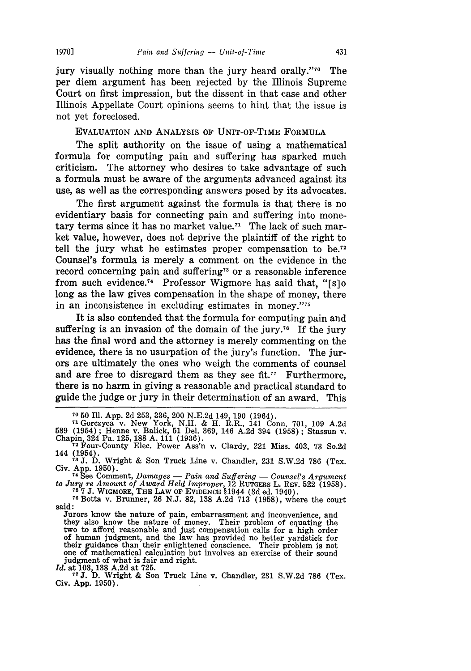jury visually nothing more than the jury heard orally."70 The per diem argument has been rejected by the Illinois Supreme Court on first impression, but the dissent in that case and other Illinois Appellate Court opinions seems to hint that the issue is not yet foreclosed.

EVALUATION AND ANALYSIS OF UNIT-OF-TIME FORMULA

The split authority on the issue of using a mathematical formula for computing pain and suffering has sparked much criticism. The attorney who desires to take advantage of such a formula must be aware of the arguments advanced against its use, as well as the corresponding answers posed by its advocates.

The first argument against the formula is that there is no evidentiary basis for connecting pain and suffering into monetary terms since it has no market value.<sup> $71$ </sup> The lack of such market value, however, does not deprive the plaintiff of the right to tell the jury what he estimates proper compensation to **be.7 <sup>2</sup>** Counsel's formula is merely a comment on the evidence in the record concerning pain and suffering<sup>73</sup> or a reasonable inference from such evidence.<sup>74</sup> Professor Wigmore has said that, " $[s]$ <sup>0</sup> long as the law gives compensation in the shape of money, there in an inconsistence in excluding estimates in money." $75$ 

It is also contended that the formula for computing pain and suffering is an invasion of the domain of the jury.<sup>76</sup> If the jury has the final word and the attorney is merely commenting on the evidence, there is no usurpation of the jury's function. The jurors are ultimately the ones who weigh the comments of counsel and are free to disregard them as they see fit. $77$  Furthermore, there is no harm in giving a reasonable and practical standard to guide the judge or jury in their determination of an award. This

**<sup>70 50</sup>** Il1. App. 2d 253, 336, 200 N.E.2d 149, 190 (1964).

**<sup>71</sup>**Gorczyca v. New York, N.H. & H. R.R., 141 Conn. 701, 109 A.2d 589 (1954) ; Henne v. Balick, 51 Del. 369, 146 A.2d 394 (1958) ; Stassun v. Chapin, 324 Pa. 125, 188 A. 111 (1936). **<sup>72</sup>**Four-County Elec. Power Ass'n v. Clardy, 221 Miss. 403, 73 So.2d

<sup>144 (1954).</sup> **" 3J.** D. Wright & Son Truck Line v. Chandler, 231 S.W.2d 786 (Tex.

Civ. App. 1950).

<sup>74</sup>See Comment, *Damages* - *Pain and Suffering* - *Counsel's Argument* to *Jury re Amount of Award Held Improper,* 12 RUTGERS L. REv. 522 (1958).

**<sup>75</sup> 7 J. WIGMORE, THE LAW OF EVIDENCE §1944** (3d ed. 1940). **76** Botta v. Brunner, 26 N.J. 82, 138 A.2d 713 (1958), where the court said:

Jurors know the nature of pain, embarrassment and inconvenience, and they also know the nature of money. Their problem of equating the two to afford reasonable and just compensation calls for a high order<br>of human judgment, and the law has provided no better yardstick for<br>their guidance than their enlightened conscience. Their problem is not<br>one of mathem one of mathematical calculation but involves an exercise of their sound judgment of what is fair and right.

*Id.* at 103, 138 A.2d at 725. **7T J.** D. Wright & Son Truck Line v. Chandler, 231 S.W.2d 786 (Tex. Civ. App. 1950).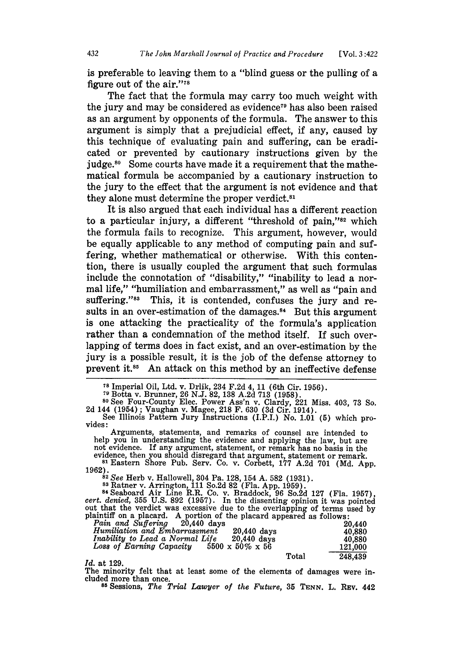is preferable to leaving them to a "blind guess or the pulling of a figure out of the air."<sup>78</sup>

The fact that the formula may carry too much weight with the jury and may be considered as evidence<sup>79</sup> has also been raised as an argument **by** opponents of the formula. The answer to this argument is simply that a prejudicial effect, if any, caused **by** this technique of evaluating pain and suffering, can be eradicated or prevented **by** cautionary instructions given **by** the judge.<sup>80</sup> Some courts have made it a requirement that the mathematical formula be accompanied **by** a cautionary instruction to the jury to the effect that the argument is not evidence and that they alone must determine the proper verdict.<sup>81</sup>

It is also argued that each individual has a different reaction to a particular injury, a different "threshold of pain,"<sup>82</sup> which the formula fails to recognize. This argument, however, would be equally applicable to any method of computing pain and suffering, whether mathematical or otherwise. With this contention, there is usually coupled the argument that such formulas include the connotation of "disability," "inability to lead a normal life," "humiliation and embarrassment," as well as "pain and suffering."<sup>88</sup> This, it is contended, confuses the jury and results in an over-estimation of the damages.<sup>84</sup> But this argument is one attacking the practicality of the formula's application rather than a condemnation of the method itself. If such overlapping of terms does in fact exist, and an over-estimation **by** the jury is a possible result, it is the **job** of the defense attorney to prevent it.<sup>85</sup> An attack on this method by an ineffective defense

2d 144 (1954) ; Vaughan v. Magee, 218 F. 630 (3d Cir. 1914). See Illinois Pattern Jury Instructions (I.P.I.) No. 1.01 **(5)** which pro-

Arguments, statements, and remarks of counsel are intended to help you in understanding the evidence and applying the law, but are not evidence. If any argument, statement, or remark has no basis in the not evidence. If any argument, statement, or remark has no basis in the evidence, then you should disregard that argument, statement or remark.<br><sup>81</sup> Eastern Shore Pub. Serv. Co. v. Corbett, 177 A.2d 701 (Md. App.

**81** Eastern Shore Pub. Serv. Co. v. Corbett, 177 **A.2d 701 (Md. App. 1962).<br>1962. <b>82** See Herb v. Hallowell, 304 Pa. 128, 154 A. 582 (1931).

83 Ratner v. Arrington, 111 So.2d 82 (Fla. App. 1959).<br>84 Seaboard Air Line R.R. Co. v. Braddock, 96 So.2d 127 *(Fla. 1957)* 

cert. denied, 355 U.S. 892 (1957). In the dissenting opinion it was pointed<br>out that the verdict was excessive due to the overlapping of terms used by<br>plaintiff on a placard. A portion of the placard appeared as follows: plaintiff on a placard. A portion of the placard appeared as follows:<br>*Pain and Suffering* 20,440 days 20,440

| $\frac{1}{2}$ will will be a control to the control of the control of the control of the control of the control of the control of the control of the control of the control of the control of the control of the control of the c<br>AV,IIU UAVS<br>Humiliation and Embarrassment<br>Inability to Lead a Normal Life<br>Loss of Earning Capacity | 20,440 days<br>$20.440$ days<br>$5500 \times 50\% \times 56$ |       | ZV.440<br>40.880<br>40.880<br>121,000 |
|--------------------------------------------------------------------------------------------------------------------------------------------------------------------------------------------------------------------------------------------------------------------------------------------------------------------------------------------------|--------------------------------------------------------------|-------|---------------------------------------|
| 7.1 at 190                                                                                                                                                                                                                                                                                                                                       |                                                              | Total | 248.439                               |

Id. at 129.<br>The minority felt that at least some of the elements of damages were included more than once.

**85** Sessions, *The Trial Lawyer of the Future,* **35 TENN.** L. REv. 442

<sup>&</sup>lt;sup>78</sup> Imperial Oil, Ltd. v. Drlik, 234 F.2d 4, 11 (6th Cir. 1956).<br><sup>79</sup> Botta v. Brunner, 26 N.J. 82, 138 A.2d 713 (1958).<br><sup>80</sup> See Four-County Elec. Power Ass'n v. Clardy, 221 Miss. 403, 73 So.

vides: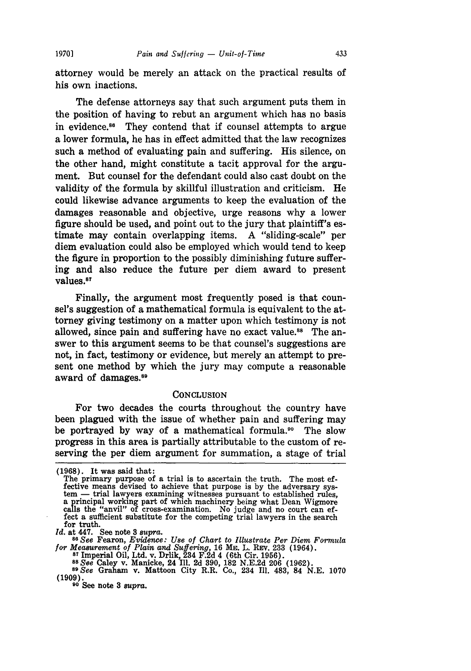attorney would be merely an attack on the practical results of his own inactions.

The defense attorneys say that such argument puts them in the position of having to rebut an argument which has no basis in evidence.86 They contend that if counsel attempts to argue a lower formula, he has in effect admitted that the law recognizes such a method of evaluating pain and suffering. His silence, on the other hand, might constitute a tacit approval for the argument. But counsel for the defendant could also cast doubt on the validity of the formula by skillful illustration and criticism. He could likewise advance arguments to keep the evaluation of the damages reasonable and objective, urge reasons why a lower figure should be used, and point out to the jury that plaintiff's estimate may contain overlapping items. A "sliding-scale" per diem evaluation could also be employed which would tend to keep the figure in proportion to the possibly diminishing future suffering and also reduce the future per diem award to present values.<sup>87</sup>

Finally, the argument most frequently posed is that counsel's suggestion of a mathematical formula is equivalent to the attorney giving testimony on a matter upon which testimony is not allowed, since pain and suffering have no exact value.<sup>88</sup> The answer to this argument seems to be that counsel's suggestions are not, in fact, testimony or evidence, but merely an attempt to present one method by which the jury may compute a reasonable award of damages.<sup>89</sup>

#### **CONCLUSION**

For two decades the courts throughout the country have been plagued with the issue of whether pain and suffering may be portrayed by way of a mathematical formula.<sup>90</sup> The slow progress in this area is partially attributable to the custom of reserving the per diem argument for summation, a stage of trial

*Id.* at 447. See note 3 *supra. <sup>86</sup>See* Fearon, *Evidence: Use of Chart to Illustrate Per Diem Formula* for Measurement of Plain and Suffering, 16 ME. L. REV. 233 (1964)<br><sup>87</sup> Imperial Oil, Ltd. v. Drlik, 234 F.2d 4 (6th Cir. 1956).<br><sup>87</sup> Imperial Oil, Ltd. v. Drlik, 234 F.2d 4 (6th Cir. 1956).<br><sup>88</sup> See Caley v. Manicke, 24 I

*8 See* Graham v. Mattoon City R.R. Co., 234 Ill. 483, 84 N.E. 1070 (1909). **9o** See note **3** *supra.*

<sup>(1968).</sup> It was said that:

The primary purpose of a trial is to ascertain the truth. The most effective means devised to achieve that purpose is by the adversary system — trial lawyers examining witnesses pursuant to established rules, tem - trial lawyers examining witnesses pursuant to established rules, a principal working part of which machinery being what Dean Wigmore calls the "anvil" of cross-examination. No judge and no court can effect a sufficient substitute for the competing trial lawyers in the search for truth.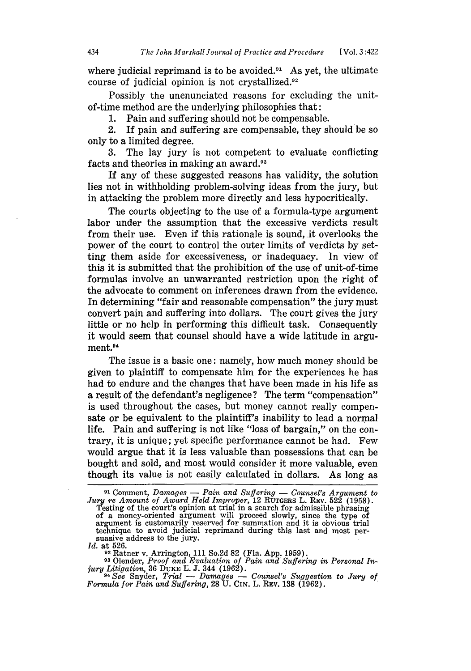where judicial reprimand is to be avoided. $91$  As yet, the ultimate course of judicial opinion is not crystallized. $92$ 

Possibly the unenunciated reasons for excluding the unitof-time method are the underlying philosophies that:

1. Pain and suffering should not be compensable.

2. If pain and suffering are compensable, they should be so only to a limited degree.

3. The lay jury is not competent to evaluate conflicting facts and theories in making an award.93

If any of these suggested reasons has validity, the solution lies not in withholding problem-solving ideas from the jury, but in attacking the problem more directly and less hypocritically.

The courts objecting to the use of a formula-type argument labor under the assumption that the excessive verdicts result from their use. Even if this rationale is sound, it overlooks the power of the court to control the outer limits of verdicts by setting them aside for excessiveness, or inadequacy. In view of this it is submitted that the prohibition of the use of unit-of-time formulas involve an unwarranted restriction upon the right of the advocate to comment on inferences drawn from the evidence. In determining "fair and reasonable compensation" the jury must convert pain and suffering into dollars. The court gives the jury little or no help in performing this difficult task. Consequently it would seem that counsel should have a wide latitude in argument.<sup>94</sup>

The issue is a basic one: namely, how much money should be given to plaintiff to compensate him for the experiences he has had to endure and the changes that have been made in his life as a result of the defendant's negligence? The term "compensation" is used throughout the cases, but money cannot really compensate or be equivalent to the plaintiff's inability to lead a normal life. Pain and suffering is not like "loss of bargain," on the contrary, it is unique; yet specific performance cannot be had. Few would argue that it is less valuable than possessions that can be bought and sold, and most would consider it more valuable, even though its value is not easily calculated in dollars. As long as

**<sup>91</sup>**Comment, *Damages* - *Pain and Suffering* - *Counsel's Argument to Jur'y re Amount of Award Held Improper,* 12 RUTGERS L. REV. 522 (1958). Testing of the court's opinion at trial in a search for admissible phrasing of a money-oriented argument will proceed slowly, since the type of argument is customarily reserved for summation and it is obvious trial technique to avoid judicial reprimand during this last and most per- suasive address to the jury. suasive address to the jury.<br>*Id.* at 526.

<sup>&</sup>lt;sup>52</sup> Ratner v. Arrington, 111 So.2d 82 (Fla. App. 1959).<br><sup>93</sup> Olender, *Proof and Evaluation of Pain and Suffering in Personal Injury Litigation,* 36 **DUKE** *L.* J. 344 (1962). *94See* Snyder, *Trial* - *Damages* - *Counsel's Suggestion to Jury of*

*Formula for Pain and Suffering,* 28 U. CIN. L. REv. 138 (1962).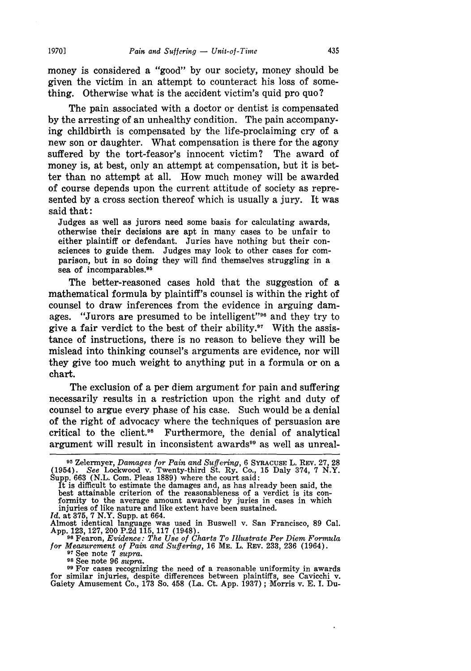*Pain and Suffering - Unit-of-Time* 

**19701**

money is considered a "good" by our society, money should be given the victim in an attempt to counteract his loss of something. Otherwise what is the accident victim's quid pro quo?

The pain associated with a doctor or dentist is compensated by the arresting of an unhealthy condition. The pain accompanying childbirth is compensated by the life-proclaiming cry of a new son or daughter. What compensation is there for the agony suffered by the tort-feasor's innocent victim? The award of money is, at best, only an attempt at compensation, but it is better than no attempt at all. How much money will be awarded of course depends upon the current attitude of society as represented by a cross section thereof which is usually a jury. It was said that:

Judges as well as jurors need some basis for calculating awards, otherwise their decisions are apt in many cases to be unfair to either plaintiff or defendant. Juries have nothing but their consciences to guide them. Judges may look to other cases for comparison, but in so doing they will find themselves struggling in a sea of incomparables.<sup>95</sup>

The better-reasoned cases hold that the suggestion of a mathematical formula by plaintiff's counsel is within the right of counsel to draw inferences from the evidence in arguing damages. "Jurors are presumed to be intelligent"<sup>96</sup> and they try to give a fair verdict to the best of their ability. $97$  With the assistance of instructions, there is no reason to believe they will be mislead into thinking counsel's arguments are evidence, nor will they give too much weight to anything put in a formula or on a chart.

The exclusion of a per diem argument for pain and suffering necessarily results in a restriction upon the right and duty of counsel to argue every phase of his case. Such would be a denial of the right of advocacy where the techniques of persuasion are critical to the client.98 Furthermore, the denial of analytical argument will result in inconsistent awards<sup>99</sup> as well as unreal-

*Id.* at 375, 7 N.Y. Supp. at 664.

<sup>99</sup> For cases recognizing the need of a reasonable uniformity in awards<br>for similar injuries, despite differences between plaintiffs, see Cavicchi v.<br>Gaiety Amusement Co., 173 So. 458 (La. Ct. App. 1937); Morris v. E. I.

**<sup>95</sup>**Zelermyer, *Damages for Pain and Suffering,* 6 SYRACUSE L. REV. 27, 28 (1954). *See* Lockwood v. Twenty-third St. Ry. Co., 15 Daly 374, 7 N.Y. Supp. 663 (N.L. Com. Pleas 1889) where the court said:

It is difficult to estimate the damages and, as has already been said, the best attainable criterion of the reasonableness of a verdict is its con- formity to the average amount awarded by juries in cases in which injuries of like nature and like extent have been sustained.

Almost identical language was used in Buswell v. San Francisco, 89 Cal. App. 123, 127, 200 P.2d 115, 117 (1948). **<sup>96</sup>**Fearon, *Evidence: The Use of Charts To Illustrate Per Diem Formula*

*for Measurement of Pain and Suffering*, 16 Me. L. Rev. 233, 236 (1964).<br><sup>97</sup> See note 7 *supra*.<br><sup>98</sup> See note 96 *supra*.